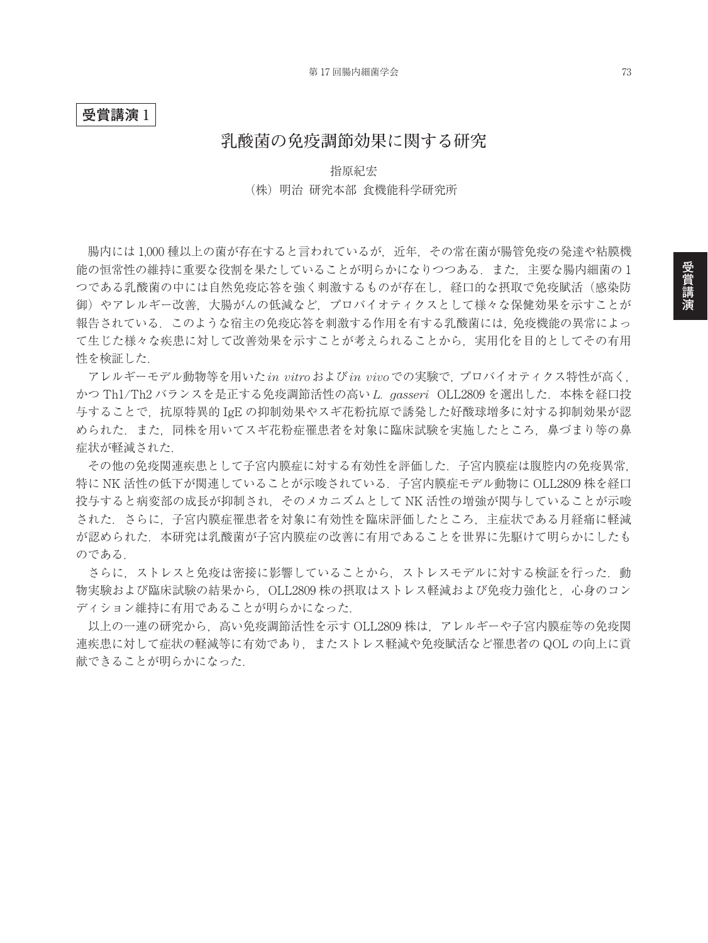## **受賞講演** 1

# **乳酸菌の免疫調節効果に関する研究**

### 指原紀宏

### (株) 明治 研究本部 食機能科学研究所

腸内には 1,000 種以上の菌が存在すると言われているが,近年,その常在菌が腸管免疫の発達や粘膜機 能の恒常性の維持に重要な役割を果たしていることが明らかになりつつある.また,主要な腸内細菌の 1 つである乳酸菌の中には自然免疫応答を強く刺激するものが存在し、経口的な摂取で免疫賦活(感染防 御)やアレルギー改善,大腸がんの低減など,プロバイオティクスとして様々な保健効果を示すことが 報告されている.このような宿主の免疫応答を刺激する作用を有する乳酸菌には,免疫機能の異常によっ て生じた様々な疾患に対して改善効果を示すことが考えられることから,実用化を目的としてその有用 性を検証した.

アレルギーモデル動物等を用いた*in vitro*および*in vivo*での実験で,プロバイオティクス特性が高く, かつ Th1/Th2 バランスを是正する免疫調節活性の高い *L. gasseri* OLL2809 を選出した.本株を経口投 与することで,抗原特異的 IgE の抑制効果やスギ花粉抗原で誘発した好酸球増多に対する抑制効果が認 められた.また,同株を用いてスギ花粉症罹患者を対象に臨床試験を実施したところ,鼻づまり等の鼻 症状が軽減された.

その他の免疫関連疾患として子宮内膜症に対する有効性を評価した.子宮内膜症は腹腔内の免疫異常, 特に NK 活性の低下が関連していることが示唆されている.子宮内膜症モデル動物に OLL2809 株を経口 投与すると病変部の成長が抑制され,そのメカニズムとして NK 活性の増強が関与していることが示唆 された.さらに,子宮内膜症罹患者を対象に有効性を臨床評価したところ,主症状である月経痛に軽減 が認められた.本研究は乳酸菌が子宮内膜症の改善に有用であることを世界に先駆けて明らかにしたも のである.

さらに、ストレスと免疫は密接に影響していることから、ストレスモデルに対する検証を行った. 動 物実験および臨床試験の結果から、OLL2809 株の摂取はストレス軽減および免疫力強化と、心身のコン ディション維持に有用であることが明らかになった.

以上の一連の研究から,高い免疫調節活性を示す OLL2809 株は,アレルギーや子宮内膜症等の免疫関 連疾患に対して症状の軽減等に有効であり、またストレス軽減や免疫賦活など罹患者の QOL の向上に貢 献できることが明らかになった.